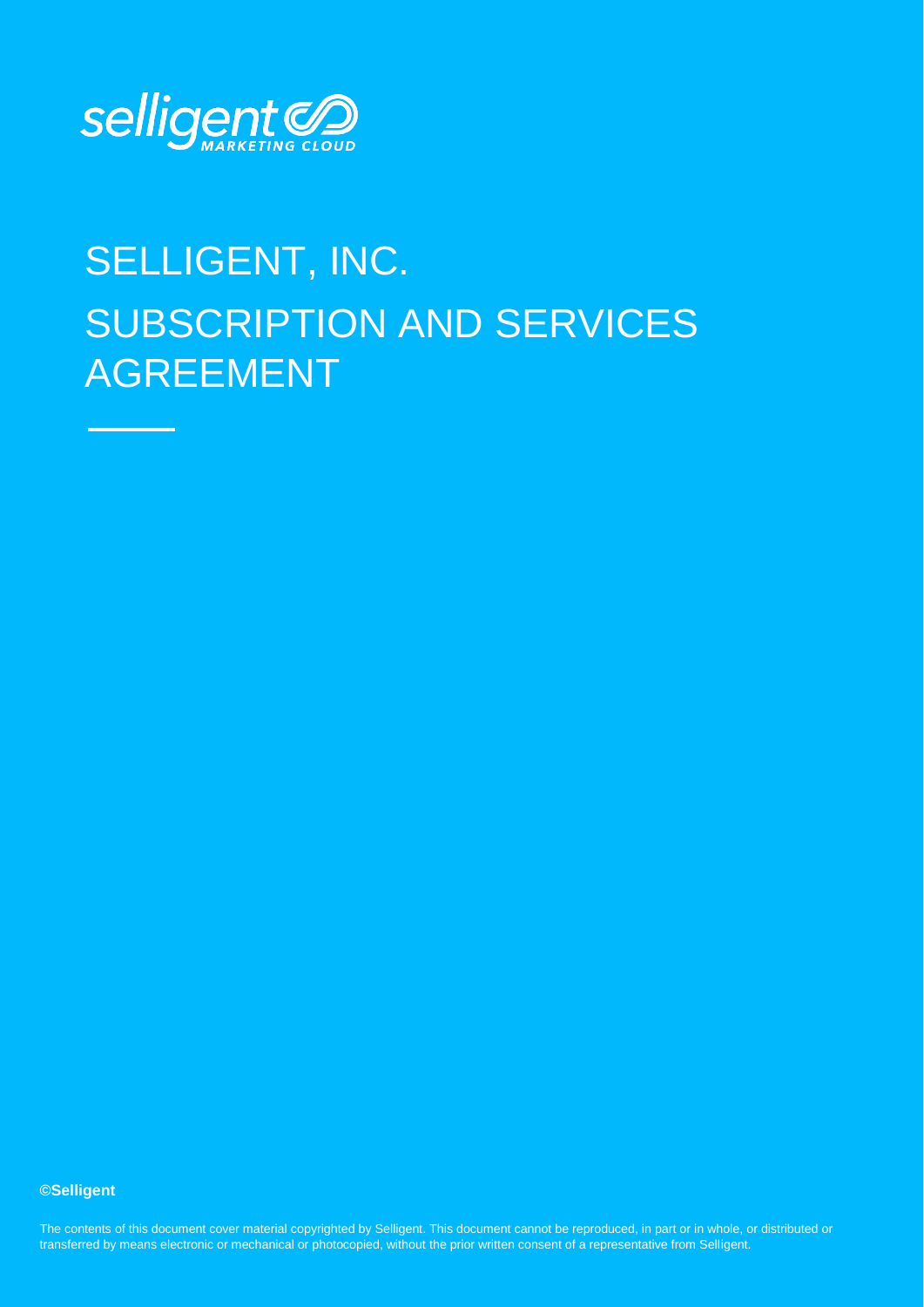

# SELLIGENT, INC. SUBSCRIPTION AND SERVICES AGREEMENT

**©Selligent** 

ransieried by means electronic or mechanical or photocopied, without the phor whiteh consent or a representative nom semgent. The contents of this document cover material copyrighted by Selligent. This document cannot be reproduced, in part or in whole, or distributed or transferred by means electronic or mechanical or photocopied, without the prior written consent of a representative from Selligent.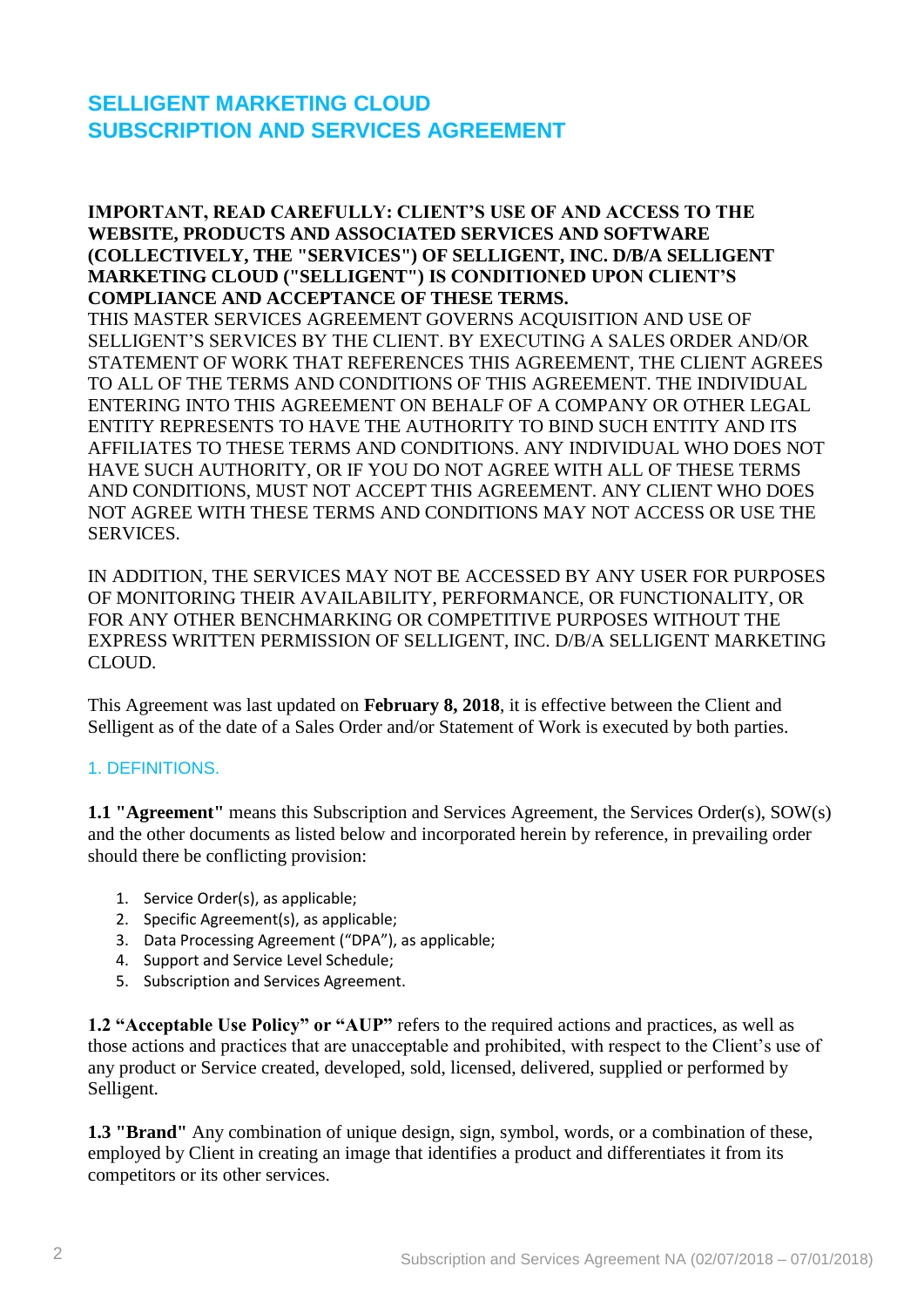# **SELLIGENT MARKETING CLOUD SUBSCRIPTION AND SERVICES AGREEMENT**

#### **IMPORTANT, READ CAREFULLY: CLIENT'S USE OF AND ACCESS TO THE WEBSITE, PRODUCTS AND ASSOCIATED SERVICES AND SOFTWARE (COLLECTIVELY, THE "SERVICES") OF SELLIGENT, INC. D/B/A SELLIGENT MARKETING CLOUD ("SELLIGENT") IS CONDITIONED UPON CLIENT'S COMPLIANCE AND ACCEPTANCE OF THESE TERMS.** THIS MASTER SERVICES AGREEMENT GOVERNS ACQUISITION AND USE OF SELLIGENT'S SERVICES BY THE CLIENT. BY EXECUTING A SALES ORDER AND/OR STATEMENT OF WORK THAT REFERENCES THIS AGREEMENT, THE CLIENT AGREES TO ALL OF THE TERMS AND CONDITIONS OF THIS AGREEMENT. THE INDIVIDUAL ENTERING INTO THIS AGREEMENT ON BEHALF OF A COMPANY OR OTHER LEGAL ENTITY REPRESENTS TO HAVE THE AUTHORITY TO BIND SUCH ENTITY AND ITS AFFILIATES TO THESE TERMS AND CONDITIONS. ANY INDIVIDUAL WHO DOES NOT HAVE SUCH AUTHORITY, OR IF YOU DO NOT AGREE WITH ALL OF THESE TERMS AND CONDITIONS, MUST NOT ACCEPT THIS AGREEMENT. ANY CLIENT WHO DOES NOT AGREE WITH THESE TERMS AND CONDITIONS MAY NOT ACCESS OR USE THE SERVICES.

IN ADDITION, THE SERVICES MAY NOT BE ACCESSED BY ANY USER FOR PURPOSES OF MONITORING THEIR AVAILABILITY, PERFORMANCE, OR FUNCTIONALITY, OR FOR ANY OTHER BENCHMARKING OR COMPETITIVE PURPOSES WITHOUT THE EXPRESS WRITTEN PERMISSION OF SELLIGENT, INC. D/B/A SELLIGENT MARKETING CLOUD.

This Agreement was last updated on **February 8, 2018**, it is effective between the Client and Selligent as of the date of a Sales Order and/or Statement of Work is executed by both parties.

#### 1. DEFINITIONS.

**1.1 "Agreement"** means this Subscription and Services Agreement, the Services Order(s), SOW(s) and the other documents as listed below and incorporated herein by reference, in prevailing order should there be conflicting provision:

- 1. Service Order(s), as applicable;
- 2. Specific Agreement(s), as applicable;
- 3. Data Processing Agreement ("DPA"), as applicable;
- 4. Support and Service Level Schedule;
- 5. Subscription and Services Agreement.

**1.2 "Acceptable Use Policy" or "AUP"** refers to the required actions and practices, as well as those actions and practices that are unacceptable and prohibited, with respect to the Client's use of any product or Service created, developed, sold, licensed, delivered, supplied or performed by Selligent.

**1.3 "Brand"** Any combination of unique design, sign, symbol, words, or a combination of these, employed by Client in creating an image that identifies a product and differentiates it from its competitors or its other services.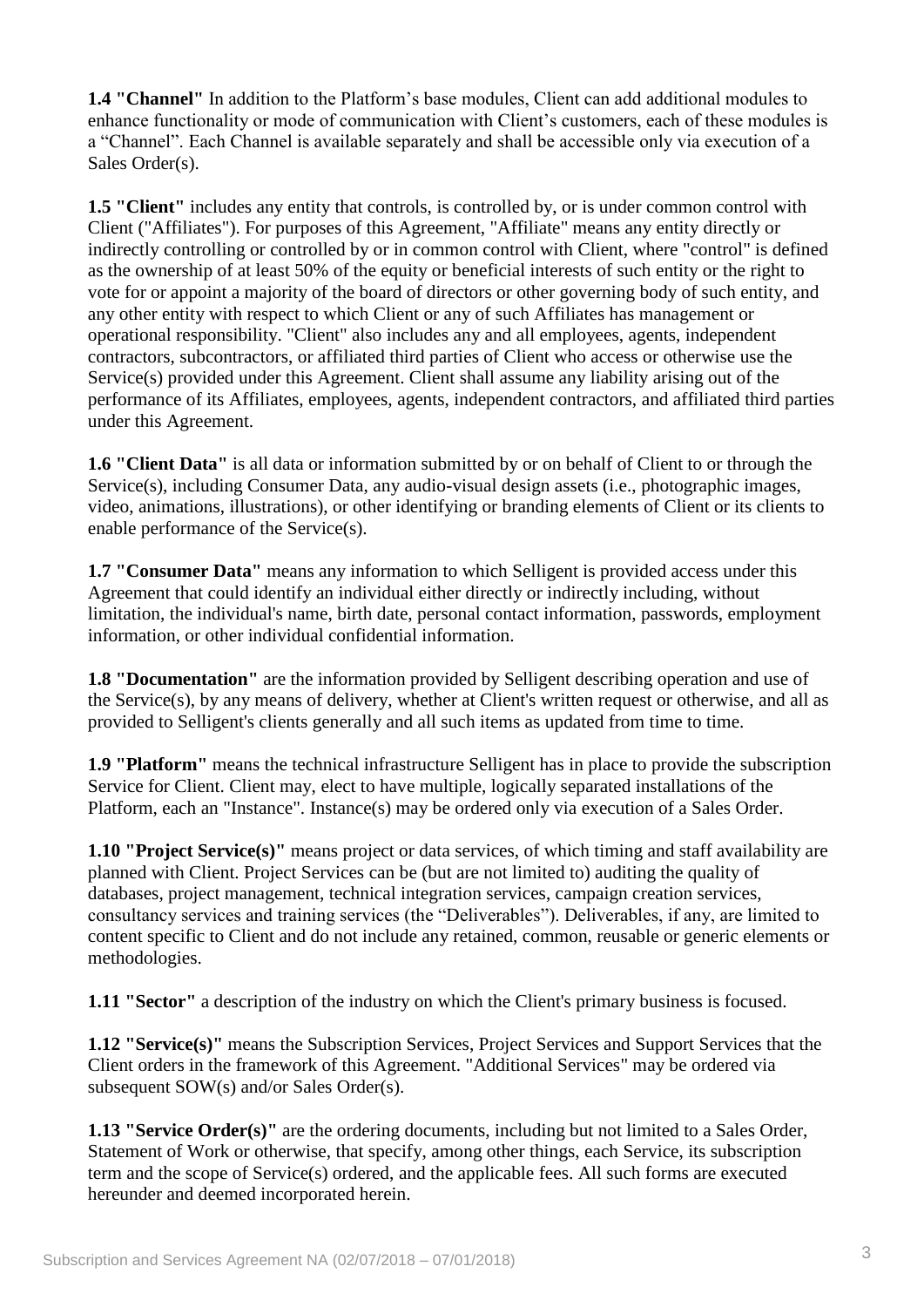**1.4 "Channel"** In addition to the Platform's base modules, Client can add additional modules to enhance functionality or mode of communication with Client's customers, each of these modules is a "Channel". Each Channel is available separately and shall be accessible only via execution of a Sales Order(s).

**1.5 "Client"** includes any entity that controls, is controlled by, or is under common control with Client ("Affiliates"). For purposes of this Agreement, "Affiliate" means any entity directly or indirectly controlling or controlled by or in common control with Client, where "control" is defined as the ownership of at least 50% of the equity or beneficial interests of such entity or the right to vote for or appoint a majority of the board of directors or other governing body of such entity, and any other entity with respect to which Client or any of such Affiliates has management or operational responsibility. "Client" also includes any and all employees, agents, independent contractors, subcontractors, or affiliated third parties of Client who access or otherwise use the Service(s) provided under this Agreement. Client shall assume any liability arising out of the performance of its Affiliates, employees, agents, independent contractors, and affiliated third parties under this Agreement.

**1.6 "Client Data"** is all data or information submitted by or on behalf of Client to or through the Service(s), including Consumer Data, any audio-visual design assets (i.e., photographic images, video, animations, illustrations), or other identifying or branding elements of Client or its clients to enable performance of the Service(s).

**1.7 "Consumer Data"** means any information to which Selligent is provided access under this Agreement that could identify an individual either directly or indirectly including, without limitation, the individual's name, birth date, personal contact information, passwords, employment information, or other individual confidential information.

**1.8 "Documentation"** are the information provided by Selligent describing operation and use of the Service(s), by any means of delivery, whether at Client's written request or otherwise, and all as provided to Selligent's clients generally and all such items as updated from time to time.

**1.9 "Platform"** means the technical infrastructure Selligent has in place to provide the subscription Service for Client. Client may, elect to have multiple, logically separated installations of the Platform, each an "Instance". Instance(s) may be ordered only via execution of a Sales Order.

**1.10 "Project Service(s)"** means project or data services, of which timing and staff availability are planned with Client. Project Services can be (but are not limited to) auditing the quality of databases, project management, technical integration services, campaign creation services, consultancy services and training services (the "Deliverables"). Deliverables, if any, are limited to content specific to Client and do not include any retained, common, reusable or generic elements or methodologies.

**1.11 "Sector"** a description of the industry on which the Client's primary business is focused.

**1.12 "Service(s)"** means the Subscription Services, Project Services and Support Services that the Client orders in the framework of this Agreement. "Additional Services" may be ordered via subsequent SOW(s) and/or Sales Order(s).

**1.13 "Service Order(s)"** are the ordering documents, including but not limited to a Sales Order, Statement of Work or otherwise, that specify, among other things, each Service, its subscription term and the scope of Service(s) ordered, and the applicable fees. All such forms are executed hereunder and deemed incorporated herein.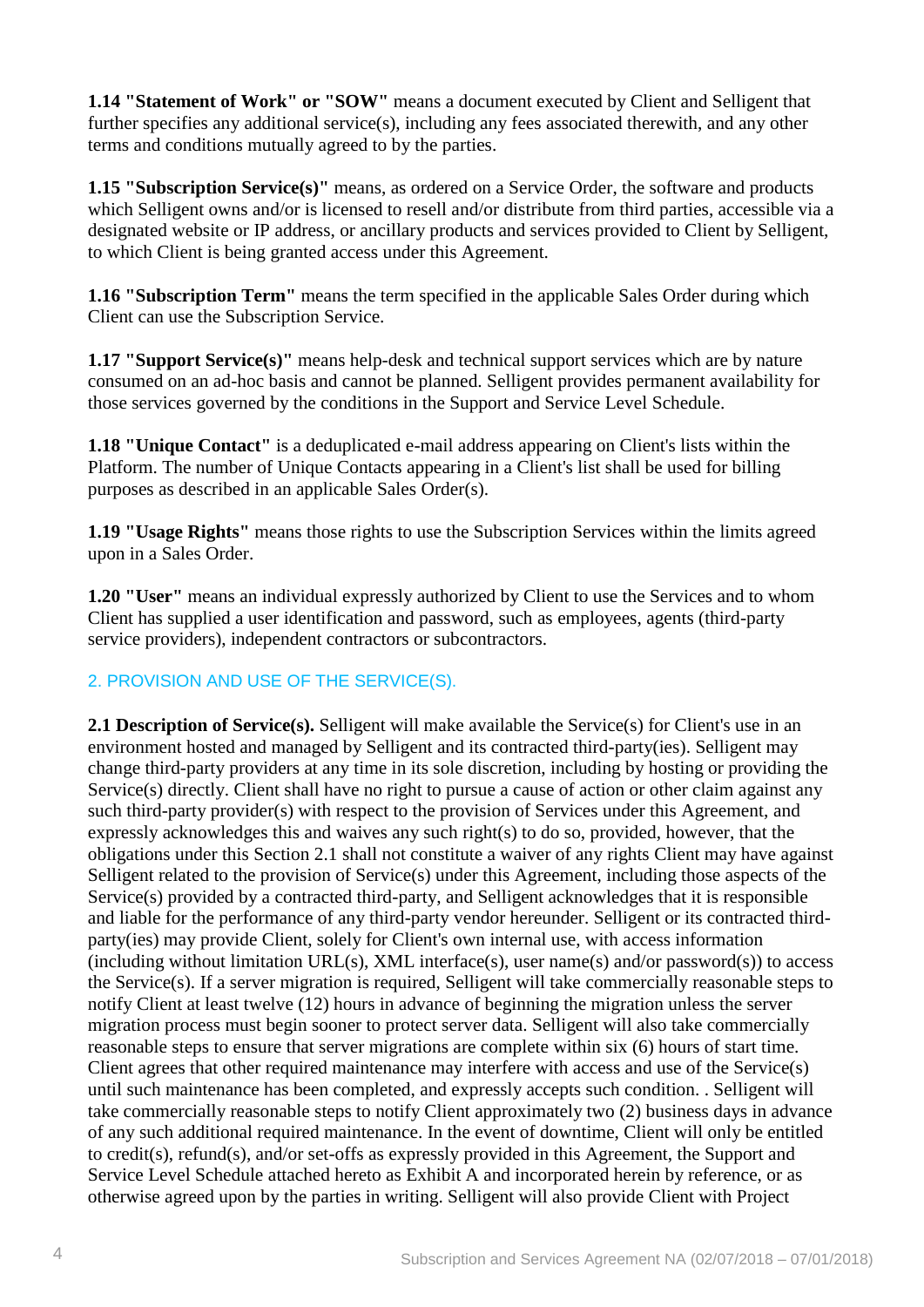**1.14 "Statement of Work" or "SOW"** means a document executed by Client and Selligent that further specifies any additional service(s), including any fees associated therewith, and any other terms and conditions mutually agreed to by the parties.

**1.15 "Subscription Service(s)"** means, as ordered on a Service Order, the software and products which Selligent owns and/or is licensed to resell and/or distribute from third parties, accessible via a designated website or IP address, or ancillary products and services provided to Client by Selligent, to which Client is being granted access under this Agreement.

**1.16 "Subscription Term"** means the term specified in the applicable Sales Order during which Client can use the Subscription Service.

**1.17 "Support Service(s)"** means help-desk and technical support services which are by nature consumed on an ad-hoc basis and cannot be planned. Selligent provides permanent availability for those services governed by the conditions in the Support and Service Level Schedule.

**1.18 "Unique Contact"** is a deduplicated e-mail address appearing on Client's lists within the Platform. The number of Unique Contacts appearing in a Client's list shall be used for billing purposes as described in an applicable Sales Order(s).

**1.19 "Usage Rights"** means those rights to use the Subscription Services within the limits agreed upon in a Sales Order.

**1.20 "User"** means an individual expressly authorized by Client to use the Services and to whom Client has supplied a user identification and password, such as employees, agents (third-party service providers), independent contractors or subcontractors.

#### 2. PROVISION AND USE OF THE SERVICE(S).

**2.1 Description of Service(s).** Selligent will make available the Service(s) for Client's use in an environment hosted and managed by Selligent and its contracted third-party(ies). Selligent may change third-party providers at any time in its sole discretion, including by hosting or providing the Service(s) directly. Client shall have no right to pursue a cause of action or other claim against any such third-party provider(s) with respect to the provision of Services under this Agreement, and expressly acknowledges this and waives any such right(s) to do so, provided, however, that the obligations under this Section 2.1 shall not constitute a waiver of any rights Client may have against Selligent related to the provision of Service(s) under this Agreement, including those aspects of the Service(s) provided by a contracted third-party, and Selligent acknowledges that it is responsible and liable for the performance of any third-party vendor hereunder. Selligent or its contracted thirdparty(ies) may provide Client, solely for Client's own internal use, with access information (including without limitation URL(s), XML interface(s), user name(s) and/or password(s)) to access the Service(s). If a server migration is required, Selligent will take commercially reasonable steps to notify Client at least twelve (12) hours in advance of beginning the migration unless the server migration process must begin sooner to protect server data. Selligent will also take commercially reasonable steps to ensure that server migrations are complete within six (6) hours of start time. Client agrees that other required maintenance may interfere with access and use of the Service(s) until such maintenance has been completed, and expressly accepts such condition. . Selligent will take commercially reasonable steps to notify Client approximately two (2) business days in advance of any such additional required maintenance. In the event of downtime, Client will only be entitled to credit(s), refund(s), and/or set-offs as expressly provided in this Agreement, the Support and Service Level Schedule attached hereto as Exhibit A and incorporated herein by reference, or as otherwise agreed upon by the parties in writing. Selligent will also provide Client with Project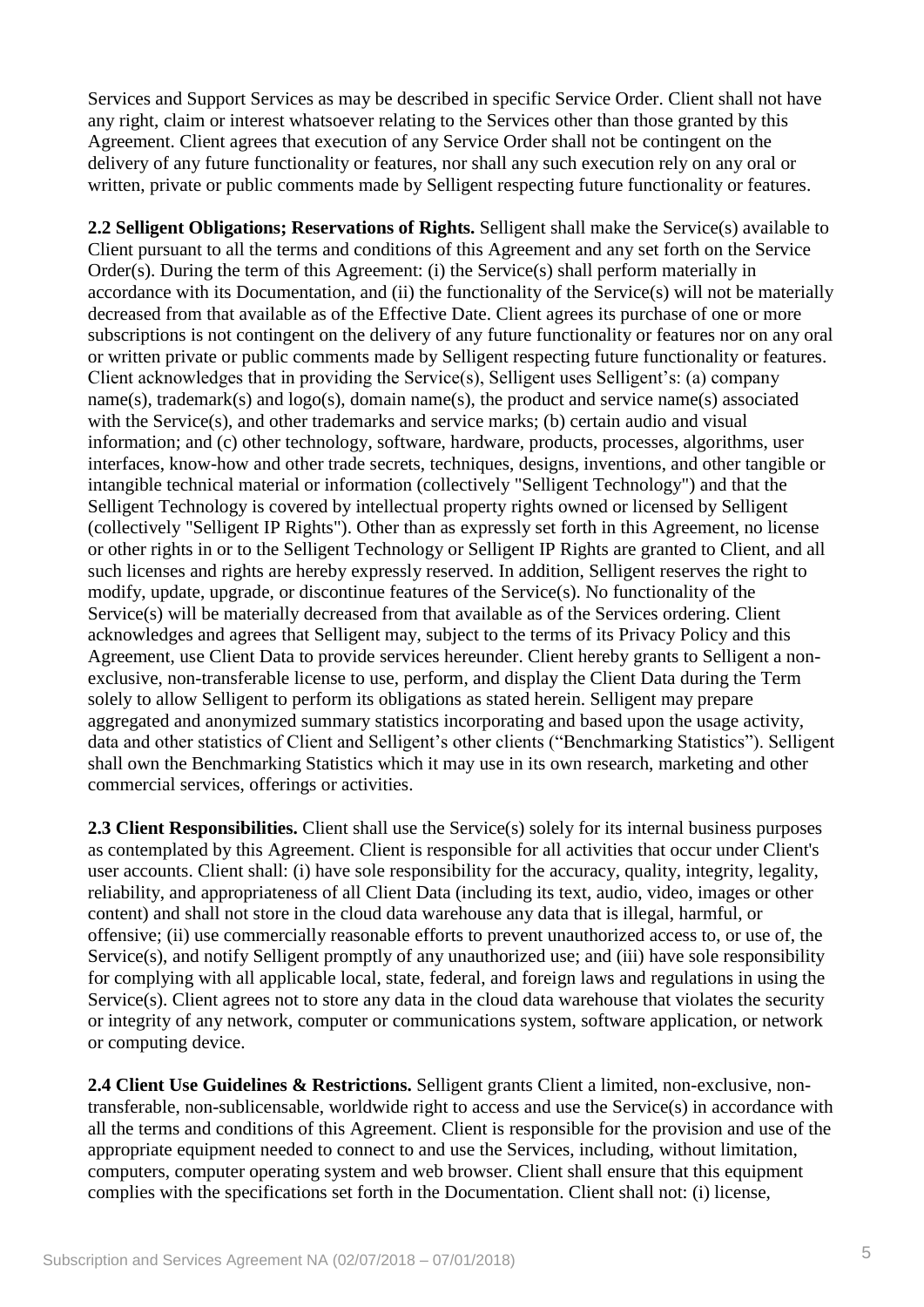Services and Support Services as may be described in specific Service Order. Client shall not have any right, claim or interest whatsoever relating to the Services other than those granted by this Agreement. Client agrees that execution of any Service Order shall not be contingent on the delivery of any future functionality or features, nor shall any such execution rely on any oral or written, private or public comments made by Selligent respecting future functionality or features.

**2.2 Selligent Obligations; Reservations of Rights.** Selligent shall make the Service(s) available to Client pursuant to all the terms and conditions of this Agreement and any set forth on the Service Order(s). During the term of this Agreement: (i) the Service(s) shall perform materially in accordance with its Documentation, and (ii) the functionality of the Service(s) will not be materially decreased from that available as of the Effective Date. Client agrees its purchase of one or more subscriptions is not contingent on the delivery of any future functionality or features nor on any oral or written private or public comments made by Selligent respecting future functionality or features. Client acknowledges that in providing the Service(s), Selligent uses Selligent's: (a) company name(s), trademark(s) and logo(s), domain name(s), the product and service name(s) associated with the Service(s), and other trademarks and service marks; (b) certain audio and visual information; and (c) other technology, software, hardware, products, processes, algorithms, user interfaces, know-how and other trade secrets, techniques, designs, inventions, and other tangible or intangible technical material or information (collectively "Selligent Technology") and that the Selligent Technology is covered by intellectual property rights owned or licensed by Selligent (collectively "Selligent IP Rights"). Other than as expressly set forth in this Agreement, no license or other rights in or to the Selligent Technology or Selligent IP Rights are granted to Client, and all such licenses and rights are hereby expressly reserved. In addition, Selligent reserves the right to modify, update, upgrade, or discontinue features of the Service(s). No functionality of the Service(s) will be materially decreased from that available as of the Services ordering. Client acknowledges and agrees that Selligent may, subject to the terms of its Privacy Policy and this Agreement, use Client Data to provide services hereunder. Client hereby grants to Selligent a nonexclusive, non-transferable license to use, perform, and display the Client Data during the Term solely to allow Selligent to perform its obligations as stated herein. Selligent may prepare aggregated and anonymized summary statistics incorporating and based upon the usage activity, data and other statistics of Client and Selligent's other clients ("Benchmarking Statistics"). Selligent shall own the Benchmarking Statistics which it may use in its own research, marketing and other commercial services, offerings or activities.

**2.3 Client Responsibilities.** Client shall use the Service(s) solely for its internal business purposes as contemplated by this Agreement. Client is responsible for all activities that occur under Client's user accounts. Client shall: (i) have sole responsibility for the accuracy, quality, integrity, legality, reliability, and appropriateness of all Client Data (including its text, audio, video, images or other content) and shall not store in the cloud data warehouse any data that is illegal, harmful, or offensive; (ii) use commercially reasonable efforts to prevent unauthorized access to, or use of, the Service(s), and notify Selligent promptly of any unauthorized use; and (iii) have sole responsibility for complying with all applicable local, state, federal, and foreign laws and regulations in using the Service(s). Client agrees not to store any data in the cloud data warehouse that violates the security or integrity of any network, computer or communications system, software application, or network or computing device.

**2.4 Client Use Guidelines & Restrictions.** Selligent grants Client a limited, non-exclusive, nontransferable, non-sublicensable, worldwide right to access and use the Service(s) in accordance with all the terms and conditions of this Agreement. Client is responsible for the provision and use of the appropriate equipment needed to connect to and use the Services, including, without limitation, computers, computer operating system and web browser. Client shall ensure that this equipment complies with the specifications set forth in the Documentation. Client shall not: (i) license,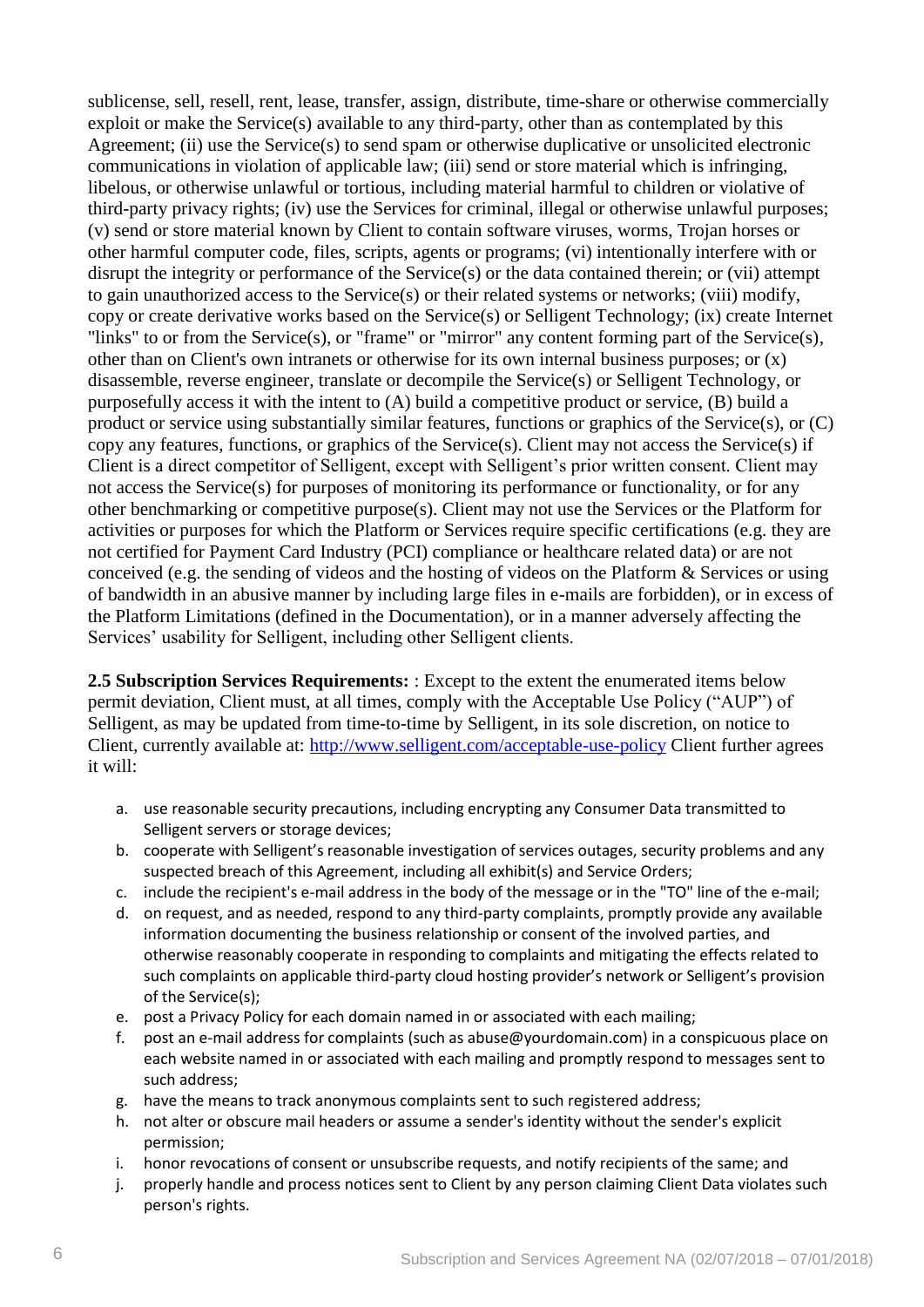sublicense, sell, resell, rent, lease, transfer, assign, distribute, time-share or otherwise commercially exploit or make the Service(s) available to any third-party, other than as contemplated by this Agreement; (ii) use the Service(s) to send spam or otherwise duplicative or unsolicited electronic communications in violation of applicable law; (iii) send or store material which is infringing, libelous, or otherwise unlawful or tortious, including material harmful to children or violative of third-party privacy rights; (iv) use the Services for criminal, illegal or otherwise unlawful purposes; (v) send or store material known by Client to contain software viruses, worms, Trojan horses or other harmful computer code, files, scripts, agents or programs; (vi) intentionally interfere with or disrupt the integrity or performance of the Service(s) or the data contained therein; or (vii) attempt to gain unauthorized access to the Service(s) or their related systems or networks; (viii) modify, copy or create derivative works based on the Service(s) or Selligent Technology; (ix) create Internet "links" to or from the Service(s), or "frame" or "mirror" any content forming part of the Service(s), other than on Client's own intranets or otherwise for its own internal business purposes; or  $(x)$ disassemble, reverse engineer, translate or decompile the Service(s) or Selligent Technology, or purposefully access it with the intent to (A) build a competitive product or service, (B) build a product or service using substantially similar features, functions or graphics of the Service(s), or  $(C)$ copy any features, functions, or graphics of the Service(s). Client may not access the Service(s) if Client is a direct competitor of Selligent, except with Selligent's prior written consent. Client may not access the Service(s) for purposes of monitoring its performance or functionality, or for any other benchmarking or competitive purpose(s). Client may not use the Services or the Platform for activities or purposes for which the Platform or Services require specific certifications (e.g. they are not certified for Payment Card Industry (PCI) compliance or healthcare related data) or are not conceived (e.g. the sending of videos and the hosting of videos on the Platform & Services or using of bandwidth in an abusive manner by including large files in e-mails are forbidden), or in excess of the Platform Limitations (defined in the Documentation), or in a manner adversely affecting the Services' usability for Selligent, including other Selligent clients.

**2.5 Subscription Services Requirements:** : Except to the extent the enumerated items below permit deviation, Client must, at all times, comply with the Acceptable Use Policy ("AUP") of Selligent, as may be updated from time-to-time by Selligent, in its sole discretion, on notice to Client, currently available at:<http://www.selligent.com/acceptable-use-policy> Client further agrees it will:

- a. use reasonable security precautions, including encrypting any Consumer Data transmitted to Selligent servers or storage devices;
- b. cooperate with Selligent's reasonable investigation of services outages, security problems and any suspected breach of this Agreement, including all exhibit(s) and Service Orders;
- c. include the recipient's e-mail address in the body of the message or in the "TO" line of the e-mail;
- d. on request, and as needed, respond to any third-party complaints, promptly provide any available information documenting the business relationship or consent of the involved parties, and otherwise reasonably cooperate in responding to complaints and mitigating the effects related to such complaints on applicable third-party cloud hosting provider's network or Selligent's provision of the Service(s);
- e. post a Privacy Policy for each domain named in or associated with each mailing;
- f. post an e-mail address for complaints (such as abuse@yourdomain.com) in a conspicuous place on each website named in or associated with each mailing and promptly respond to messages sent to such address;
- g. have the means to track anonymous complaints sent to such registered address;
- h. not alter or obscure mail headers or assume a sender's identity without the sender's explicit permission;
- i. honor revocations of consent or unsubscribe requests, and notify recipients of the same; and
- j. properly handle and process notices sent to Client by any person claiming Client Data violates such person's rights.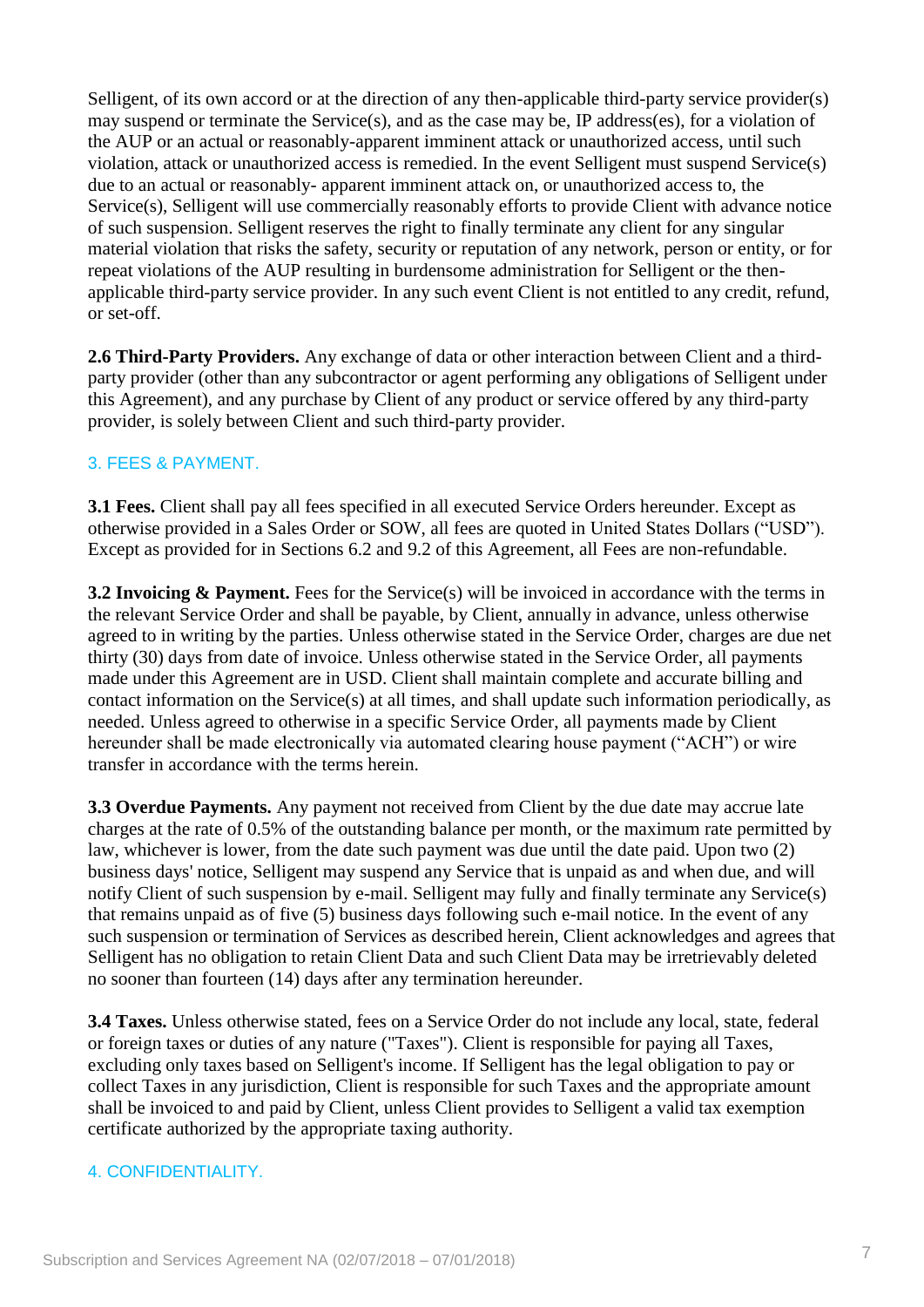Selligent, of its own accord or at the direction of any then-applicable third-party service provider(s) may suspend or terminate the Service(s), and as the case may be, IP address(es), for a violation of the AUP or an actual or reasonably-apparent imminent attack or unauthorized access, until such violation, attack or unauthorized access is remedied. In the event Selligent must suspend Service(s) due to an actual or reasonably- apparent imminent attack on, or unauthorized access to, the Service(s), Selligent will use commercially reasonably efforts to provide Client with advance notice of such suspension. Selligent reserves the right to finally terminate any client for any singular material violation that risks the safety, security or reputation of any network, person or entity, or for repeat violations of the AUP resulting in burdensome administration for Selligent or the thenapplicable third-party service provider. In any such event Client is not entitled to any credit, refund, or set-off.

**2.6 Third-Party Providers.** Any exchange of data or other interaction between Client and a thirdparty provider (other than any subcontractor or agent performing any obligations of Selligent under this Agreement), and any purchase by Client of any product or service offered by any third-party provider, is solely between Client and such third-party provider.

#### 3. FEES & PAYMENT.

**3.1 Fees.** Client shall pay all fees specified in all executed Service Orders hereunder. Except as otherwise provided in a Sales Order or SOW, all fees are quoted in United States Dollars ("USD"). Except as provided for in Sections 6.2 and 9.2 of this Agreement, all Fees are non-refundable.

**3.2 Invoicing & Payment.** Fees for the Service(s) will be invoiced in accordance with the terms in the relevant Service Order and shall be payable, by Client, annually in advance, unless otherwise agreed to in writing by the parties. Unless otherwise stated in the Service Order, charges are due net thirty (30) days from date of invoice. Unless otherwise stated in the Service Order, all payments made under this Agreement are in USD. Client shall maintain complete and accurate billing and contact information on the Service(s) at all times, and shall update such information periodically, as needed. Unless agreed to otherwise in a specific Service Order, all payments made by Client hereunder shall be made electronically via automated clearing house payment ("ACH") or wire transfer in accordance with the terms herein.

**3.3 Overdue Payments.** Any payment not received from Client by the due date may accrue late charges at the rate of 0.5% of the outstanding balance per month, or the maximum rate permitted by law, whichever is lower, from the date such payment was due until the date paid. Upon two (2) business days' notice, Selligent may suspend any Service that is unpaid as and when due, and will notify Client of such suspension by e-mail. Selligent may fully and finally terminate any Service(s) that remains unpaid as of five (5) business days following such e-mail notice. In the event of any such suspension or termination of Services as described herein, Client acknowledges and agrees that Selligent has no obligation to retain Client Data and such Client Data may be irretrievably deleted no sooner than fourteen (14) days after any termination hereunder.

**3.4 Taxes.** Unless otherwise stated, fees on a Service Order do not include any local, state, federal or foreign taxes or duties of any nature ("Taxes"). Client is responsible for paying all Taxes, excluding only taxes based on Selligent's income. If Selligent has the legal obligation to pay or collect Taxes in any jurisdiction, Client is responsible for such Taxes and the appropriate amount shall be invoiced to and paid by Client, unless Client provides to Selligent a valid tax exemption certificate authorized by the appropriate taxing authority.

#### 4. CONFIDENTIALITY.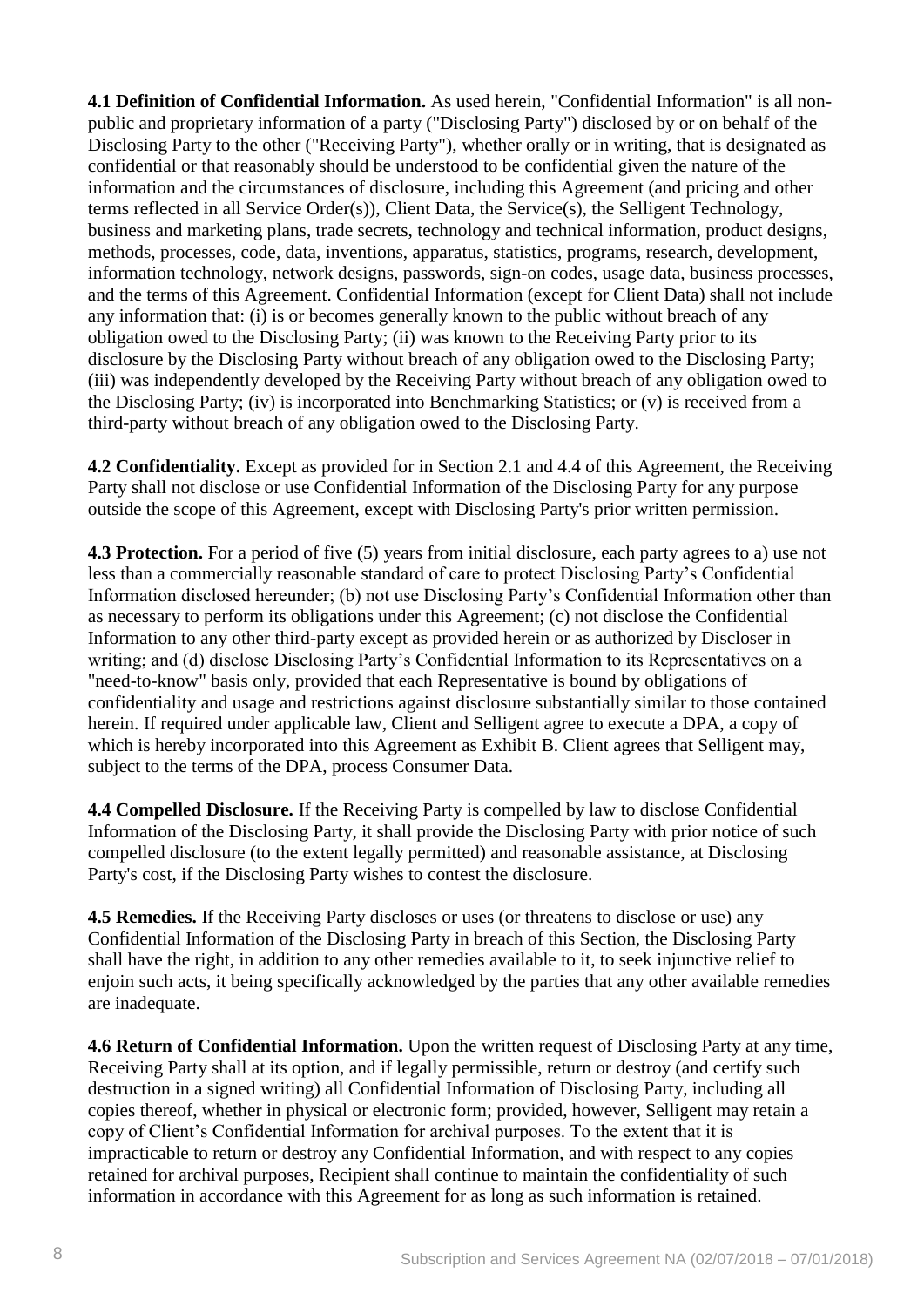**4.1 Definition of Confidential Information.** As used herein, "Confidential Information" is all nonpublic and proprietary information of a party ("Disclosing Party") disclosed by or on behalf of the Disclosing Party to the other ("Receiving Party"), whether orally or in writing, that is designated as confidential or that reasonably should be understood to be confidential given the nature of the information and the circumstances of disclosure, including this Agreement (and pricing and other terms reflected in all Service Order(s)), Client Data, the Service(s), the Selligent Technology, business and marketing plans, trade secrets, technology and technical information, product designs, methods, processes, code, data, inventions, apparatus, statistics, programs, research, development, information technology, network designs, passwords, sign-on codes, usage data, business processes, and the terms of this Agreement. Confidential Information (except for Client Data) shall not include any information that: (i) is or becomes generally known to the public without breach of any obligation owed to the Disclosing Party; (ii) was known to the Receiving Party prior to its disclosure by the Disclosing Party without breach of any obligation owed to the Disclosing Party; (iii) was independently developed by the Receiving Party without breach of any obligation owed to the Disclosing Party; (iv) is incorporated into Benchmarking Statistics; or (v) is received from a third-party without breach of any obligation owed to the Disclosing Party.

**4.2 Confidentiality.** Except as provided for in Section 2.1 and 4.4 of this Agreement, the Receiving Party shall not disclose or use Confidential Information of the Disclosing Party for any purpose outside the scope of this Agreement, except with Disclosing Party's prior written permission.

**4.3 Protection.** For a period of five (5) years from initial disclosure, each party agrees to a) use not less than a commercially reasonable standard of care to protect Disclosing Party's Confidential Information disclosed hereunder; (b) not use Disclosing Party's Confidential Information other than as necessary to perform its obligations under this Agreement; (c) not disclose the Confidential Information to any other third-party except as provided herein or as authorized by Discloser in writing; and (d) disclose Disclosing Party's Confidential Information to its Representatives on a "need-to-know" basis only, provided that each Representative is bound by obligations of confidentiality and usage and restrictions against disclosure substantially similar to those contained herein. If required under applicable law, Client and Selligent agree to execute a DPA, a copy of which is hereby incorporated into this Agreement as Exhibit B. Client agrees that Selligent may, subject to the terms of the DPA, process Consumer Data.

**4.4 Compelled Disclosure.** If the Receiving Party is compelled by law to disclose Confidential Information of the Disclosing Party, it shall provide the Disclosing Party with prior notice of such compelled disclosure (to the extent legally permitted) and reasonable assistance, at Disclosing Party's cost, if the Disclosing Party wishes to contest the disclosure.

**4.5 Remedies.** If the Receiving Party discloses or uses (or threatens to disclose or use) any Confidential Information of the Disclosing Party in breach of this Section, the Disclosing Party shall have the right, in addition to any other remedies available to it, to seek injunctive relief to enjoin such acts, it being specifically acknowledged by the parties that any other available remedies are inadequate.

**4.6 Return of Confidential Information.** Upon the written request of Disclosing Party at any time, Receiving Party shall at its option, and if legally permissible, return or destroy (and certify such destruction in a signed writing) all Confidential Information of Disclosing Party, including all copies thereof, whether in physical or electronic form; provided, however, Selligent may retain a copy of Client's Confidential Information for archival purposes. To the extent that it is impracticable to return or destroy any Confidential Information, and with respect to any copies retained for archival purposes, Recipient shall continue to maintain the confidentiality of such information in accordance with this Agreement for as long as such information is retained.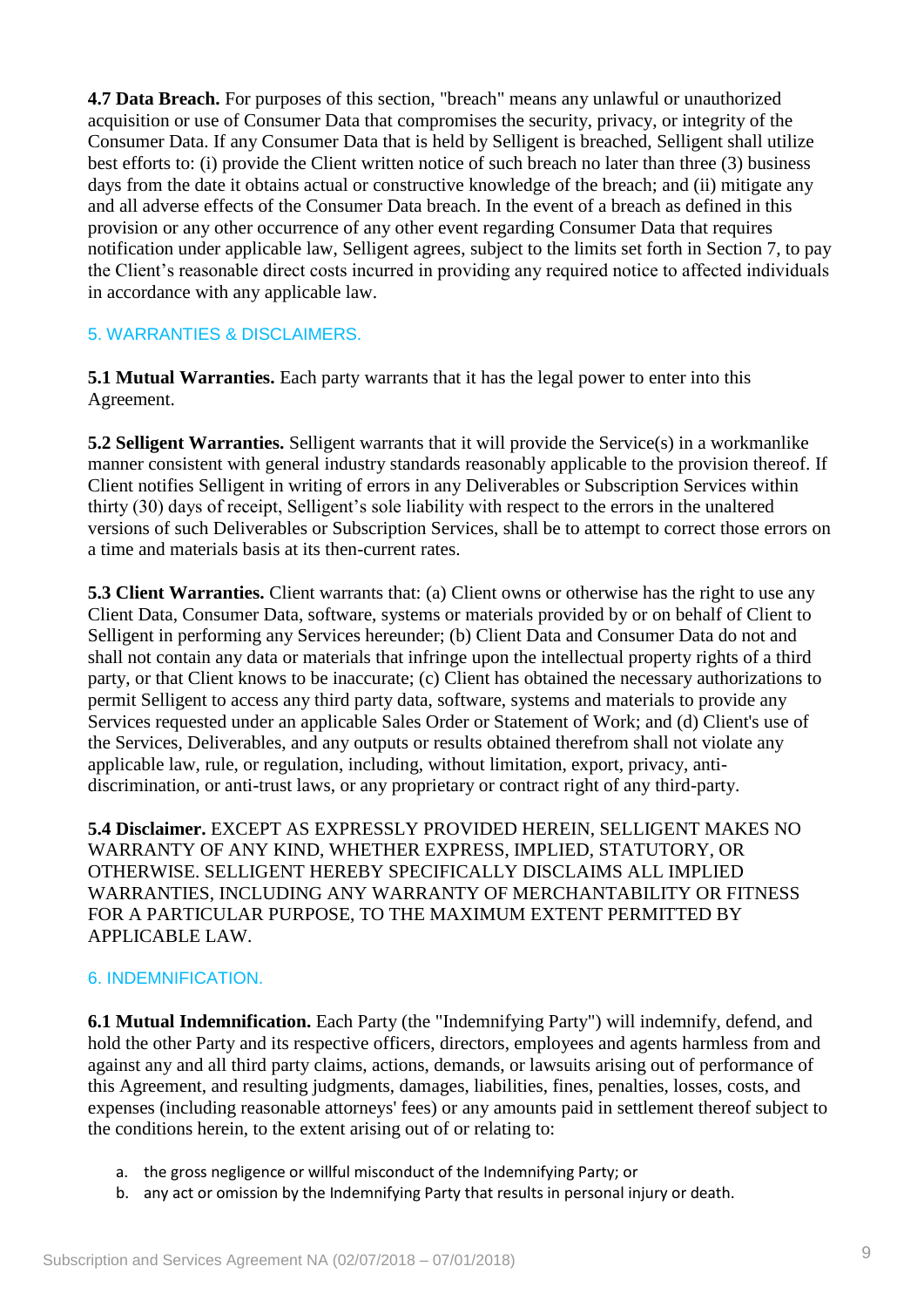**4.7 Data Breach.** For purposes of this section, "breach" means any unlawful or unauthorized acquisition or use of Consumer Data that compromises the security, privacy, or integrity of the Consumer Data. If any Consumer Data that is held by Selligent is breached, Selligent shall utilize best efforts to: (i) provide the Client written notice of such breach no later than three (3) business days from the date it obtains actual or constructive knowledge of the breach; and (ii) mitigate any and all adverse effects of the Consumer Data breach. In the event of a breach as defined in this provision or any other occurrence of any other event regarding Consumer Data that requires notification under applicable law, Selligent agrees, subject to the limits set forth in Section 7, to pay the Client's reasonable direct costs incurred in providing any required notice to affected individuals in accordance with any applicable law.

#### 5. WARRANTIES & DISCLAIMERS.

**5.1 Mutual Warranties.** Each party warrants that it has the legal power to enter into this Agreement.

**5.2 Selligent Warranties.** Selligent warrants that it will provide the Service(s) in a workmanlike manner consistent with general industry standards reasonably applicable to the provision thereof. If Client notifies Selligent in writing of errors in any Deliverables or Subscription Services within thirty (30) days of receipt, Selligent's sole liability with respect to the errors in the unaltered versions of such Deliverables or Subscription Services, shall be to attempt to correct those errors on a time and materials basis at its then-current rates.

**5.3 Client Warranties.** Client warrants that: (a) Client owns or otherwise has the right to use any Client Data, Consumer Data, software, systems or materials provided by or on behalf of Client to Selligent in performing any Services hereunder; (b) Client Data and Consumer Data do not and shall not contain any data or materials that infringe upon the intellectual property rights of a third party, or that Client knows to be inaccurate; (c) Client has obtained the necessary authorizations to permit Selligent to access any third party data, software, systems and materials to provide any Services requested under an applicable Sales Order or Statement of Work; and (d) Client's use of the Services, Deliverables, and any outputs or results obtained therefrom shall not violate any applicable law, rule, or regulation, including, without limitation, export, privacy, antidiscrimination, or anti-trust laws, or any proprietary or contract right of any third-party.

**5.4 Disclaimer.** EXCEPT AS EXPRESSLY PROVIDED HEREIN, SELLIGENT MAKES NO WARRANTY OF ANY KIND, WHETHER EXPRESS, IMPLIED, STATUTORY, OR OTHERWISE. SELLIGENT HEREBY SPECIFICALLY DISCLAIMS ALL IMPLIED WARRANTIES, INCLUDING ANY WARRANTY OF MERCHANTABILITY OR FITNESS FOR A PARTICULAR PURPOSE, TO THE MAXIMUM EXTENT PERMITTED BY APPLICABLE LAW.

#### 6. INDEMNIFICATION.

**6.1 Mutual Indemnification.** Each Party (the "Indemnifying Party") will indemnify, defend, and hold the other Party and its respective officers, directors, employees and agents harmless from and against any and all third party claims, actions, demands, or lawsuits arising out of performance of this Agreement, and resulting judgments, damages, liabilities, fines, penalties, losses, costs, and expenses (including reasonable attorneys' fees) or any amounts paid in settlement thereof subject to the conditions herein, to the extent arising out of or relating to:

- a. the gross negligence or willful misconduct of the Indemnifying Party; or
- b. any act or omission by the Indemnifying Party that results in personal injury or death.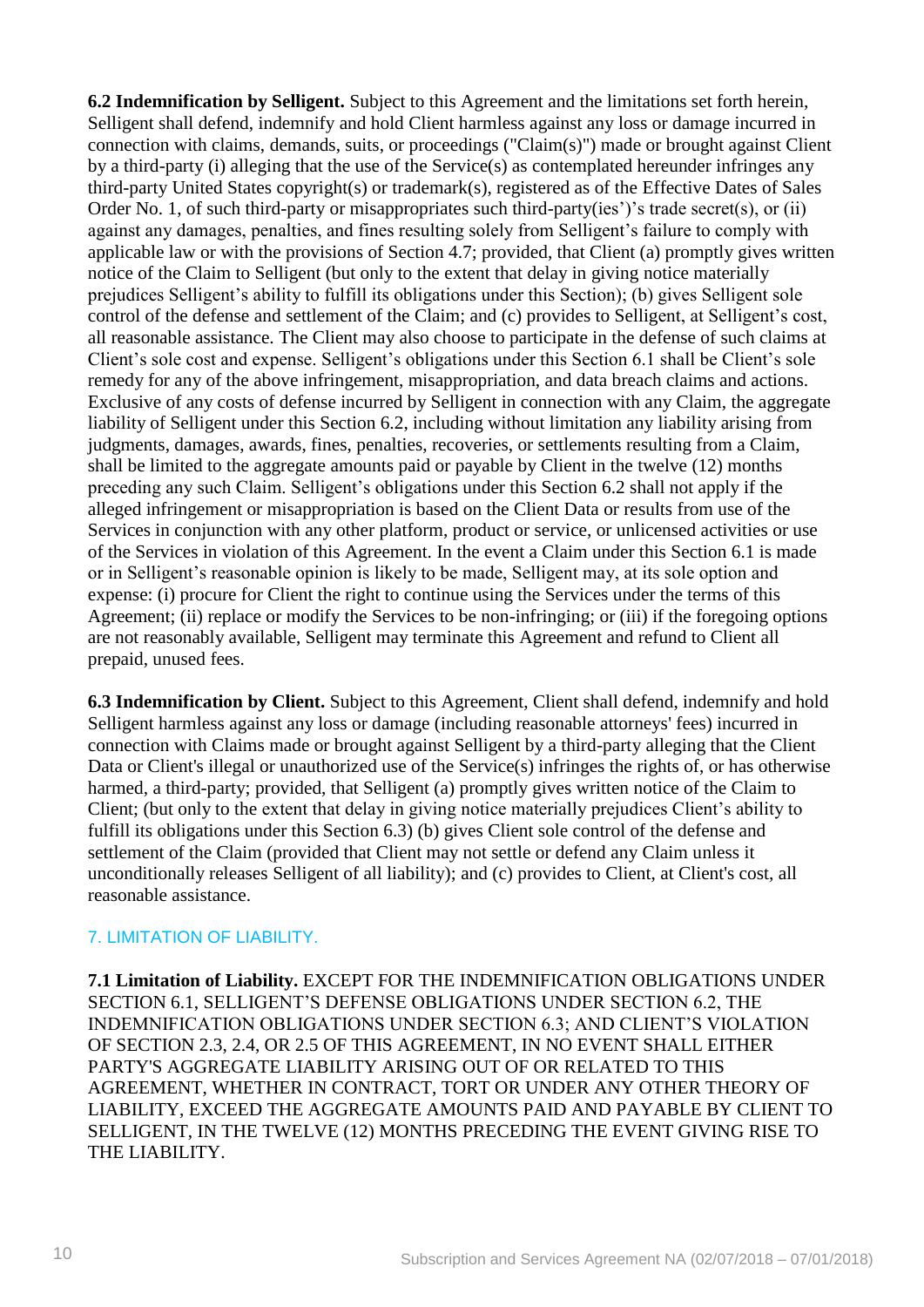**6.2 Indemnification by Selligent.** Subject to this Agreement and the limitations set forth herein, Selligent shall defend, indemnify and hold Client harmless against any loss or damage incurred in connection with claims, demands, suits, or proceedings ("Claim(s)") made or brought against Client by a third-party (i) alleging that the use of the Service(s) as contemplated hereunder infringes any third-party United States copyright(s) or trademark(s), registered as of the Effective Dates of Sales Order No. 1, of such third-party or misappropriates such third-party(ies')'s trade secret(s), or (ii) against any damages, penalties, and fines resulting solely from Selligent's failure to comply with applicable law or with the provisions of Section 4.7; provided, that Client (a) promptly gives written notice of the Claim to Selligent (but only to the extent that delay in giving notice materially prejudices Selligent's ability to fulfill its obligations under this Section); (b) gives Selligent sole control of the defense and settlement of the Claim; and (c) provides to Selligent, at Selligent's cost, all reasonable assistance. The Client may also choose to participate in the defense of such claims at Client's sole cost and expense. Selligent's obligations under this Section 6.1 shall be Client's sole remedy for any of the above infringement, misappropriation, and data breach claims and actions. Exclusive of any costs of defense incurred by Selligent in connection with any Claim, the aggregate liability of Selligent under this Section 6.2, including without limitation any liability arising from judgments, damages, awards, fines, penalties, recoveries, or settlements resulting from a Claim, shall be limited to the aggregate amounts paid or payable by Client in the twelve (12) months preceding any such Claim. Selligent's obligations under this Section 6.2 shall not apply if the alleged infringement or misappropriation is based on the Client Data or results from use of the Services in conjunction with any other platform, product or service, or unlicensed activities or use of the Services in violation of this Agreement. In the event a Claim under this Section 6.1 is made or in Selligent's reasonable opinion is likely to be made, Selligent may, at its sole option and expense: (i) procure for Client the right to continue using the Services under the terms of this Agreement; (ii) replace or modify the Services to be non-infringing; or (iii) if the foregoing options are not reasonably available, Selligent may terminate this Agreement and refund to Client all prepaid, unused fees.

**6.3 Indemnification by Client.** Subject to this Agreement, Client shall defend, indemnify and hold Selligent harmless against any loss or damage (including reasonable attorneys' fees) incurred in connection with Claims made or brought against Selligent by a third-party alleging that the Client Data or Client's illegal or unauthorized use of the Service(s) infringes the rights of, or has otherwise harmed, a third-party; provided, that Selligent (a) promptly gives written notice of the Claim to Client; (but only to the extent that delay in giving notice materially prejudices Client's ability to fulfill its obligations under this Section 6.3) (b) gives Client sole control of the defense and settlement of the Claim (provided that Client may not settle or defend any Claim unless it unconditionally releases Selligent of all liability); and (c) provides to Client, at Client's cost, all reasonable assistance.

### 7. LIMITATION OF LIABILITY.

**7.1 Limitation of Liability.** EXCEPT FOR THE INDEMNIFICATION OBLIGATIONS UNDER SECTION 6.1, SELLIGENT'S DEFENSE OBLIGATIONS UNDER SECTION 6.2, THE INDEMNIFICATION OBLIGATIONS UNDER SECTION 6.3; AND CLIENT'S VIOLATION OF SECTION 2.3, 2.4, OR 2.5 OF THIS AGREEMENT, IN NO EVENT SHALL EITHER PARTY'S AGGREGATE LIABILITY ARISING OUT OF OR RELATED TO THIS AGREEMENT, WHETHER IN CONTRACT, TORT OR UNDER ANY OTHER THEORY OF LIABILITY, EXCEED THE AGGREGATE AMOUNTS PAID AND PAYABLE BY CLIENT TO SELLIGENT, IN THE TWELVE (12) MONTHS PRECEDING THE EVENT GIVING RISE TO THE LIABILITY.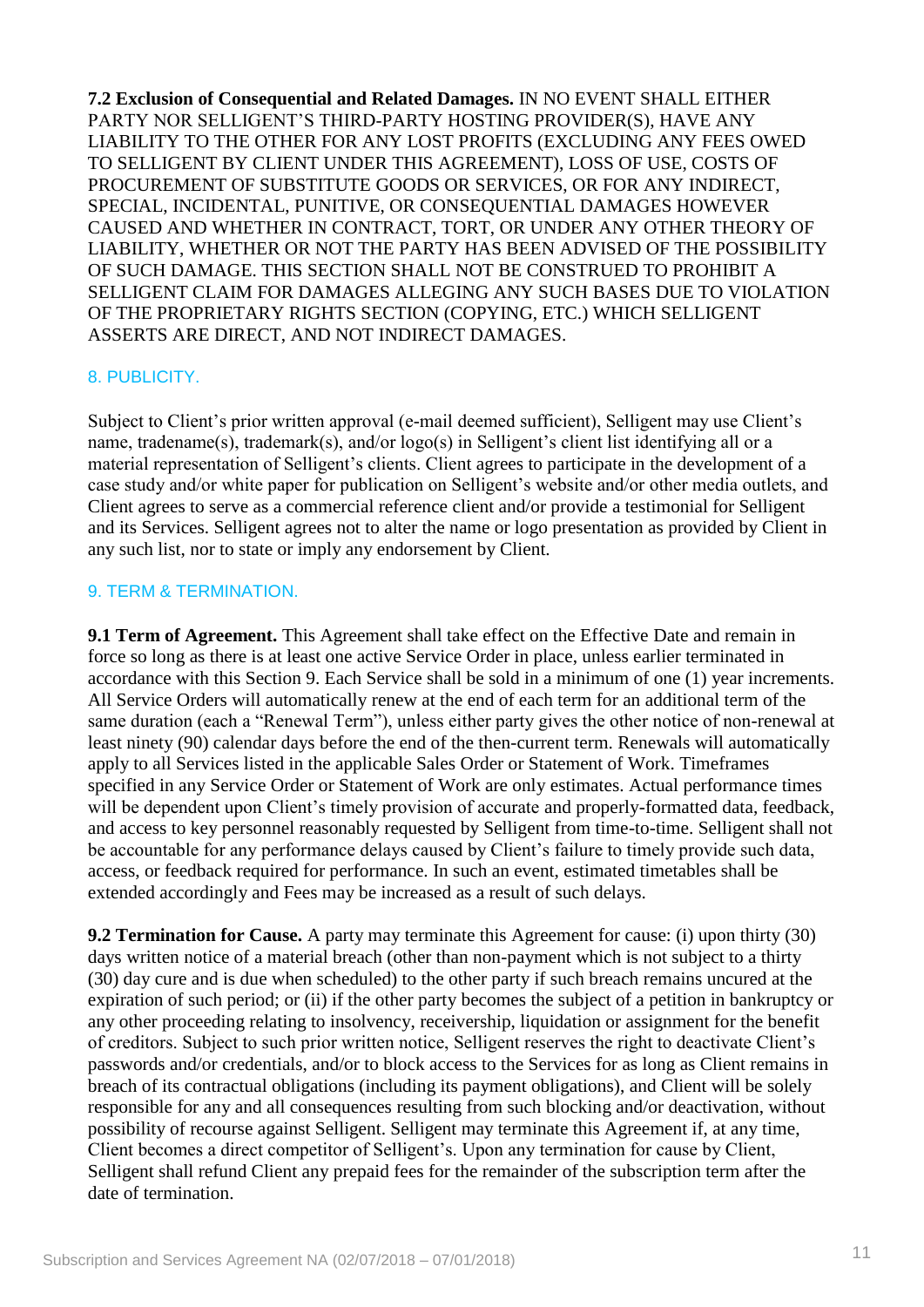**7.2 Exclusion of Consequential and Related Damages.** IN NO EVENT SHALL EITHER PARTY NOR SELLIGENT'S THIRD-PARTY HOSTING PROVIDER(S), HAVE ANY LIABILITY TO THE OTHER FOR ANY LOST PROFITS (EXCLUDING ANY FEES OWED TO SELLIGENT BY CLIENT UNDER THIS AGREEMENT), LOSS OF USE, COSTS OF PROCUREMENT OF SUBSTITUTE GOODS OR SERVICES, OR FOR ANY INDIRECT, SPECIAL, INCIDENTAL, PUNITIVE, OR CONSEQUENTIAL DAMAGES HOWEVER CAUSED AND WHETHER IN CONTRACT, TORT, OR UNDER ANY OTHER THEORY OF LIABILITY, WHETHER OR NOT THE PARTY HAS BEEN ADVISED OF THE POSSIBILITY OF SUCH DAMAGE. THIS SECTION SHALL NOT BE CONSTRUED TO PROHIBIT A SELLIGENT CLAIM FOR DAMAGES ALLEGING ANY SUCH BASES DUE TO VIOLATION OF THE PROPRIETARY RIGHTS SECTION (COPYING, ETC.) WHICH SELLIGENT ASSERTS ARE DIRECT, AND NOT INDIRECT DAMAGES.

#### 8. PUBLICITY.

Subject to Client's prior written approval (e-mail deemed sufficient), Selligent may use Client's name, tradename(s), trademark(s), and/or logo(s) in Selligent's client list identifying all or a material representation of Selligent's clients. Client agrees to participate in the development of a case study and/or white paper for publication on Selligent's website and/or other media outlets, and Client agrees to serve as a commercial reference client and/or provide a testimonial for Selligent and its Services. Selligent agrees not to alter the name or logo presentation as provided by Client in any such list, nor to state or imply any endorsement by Client.

#### 9. TERM & TERMINATION.

**9.1 Term of Agreement.** This Agreement shall take effect on the Effective Date and remain in force so long as there is at least one active Service Order in place, unless earlier terminated in accordance with this Section 9. Each Service shall be sold in a minimum of one (1) year increments. All Service Orders will automatically renew at the end of each term for an additional term of the same duration (each a "Renewal Term"), unless either party gives the other notice of non-renewal at least ninety (90) calendar days before the end of the then-current term. Renewals will automatically apply to all Services listed in the applicable Sales Order or Statement of Work. Timeframes specified in any Service Order or Statement of Work are only estimates. Actual performance times will be dependent upon Client's timely provision of accurate and properly-formatted data, feedback, and access to key personnel reasonably requested by Selligent from time-to-time. Selligent shall not be accountable for any performance delays caused by Client's failure to timely provide such data, access, or feedback required for performance. In such an event, estimated timetables shall be extended accordingly and Fees may be increased as a result of such delays.

**9.2 Termination for Cause.** A party may terminate this Agreement for cause: (i) upon thirty (30) days written notice of a material breach (other than non-payment which is not subject to a thirty (30) day cure and is due when scheduled) to the other party if such breach remains uncured at the expiration of such period; or (ii) if the other party becomes the subject of a petition in bankruptcy or any other proceeding relating to insolvency, receivership, liquidation or assignment for the benefit of creditors. Subject to such prior written notice, Selligent reserves the right to deactivate Client's passwords and/or credentials, and/or to block access to the Services for as long as Client remains in breach of its contractual obligations (including its payment obligations), and Client will be solely responsible for any and all consequences resulting from such blocking and/or deactivation, without possibility of recourse against Selligent. Selligent may terminate this Agreement if, at any time, Client becomes a direct competitor of Selligent's. Upon any termination for cause by Client, Selligent shall refund Client any prepaid fees for the remainder of the subscription term after the date of termination.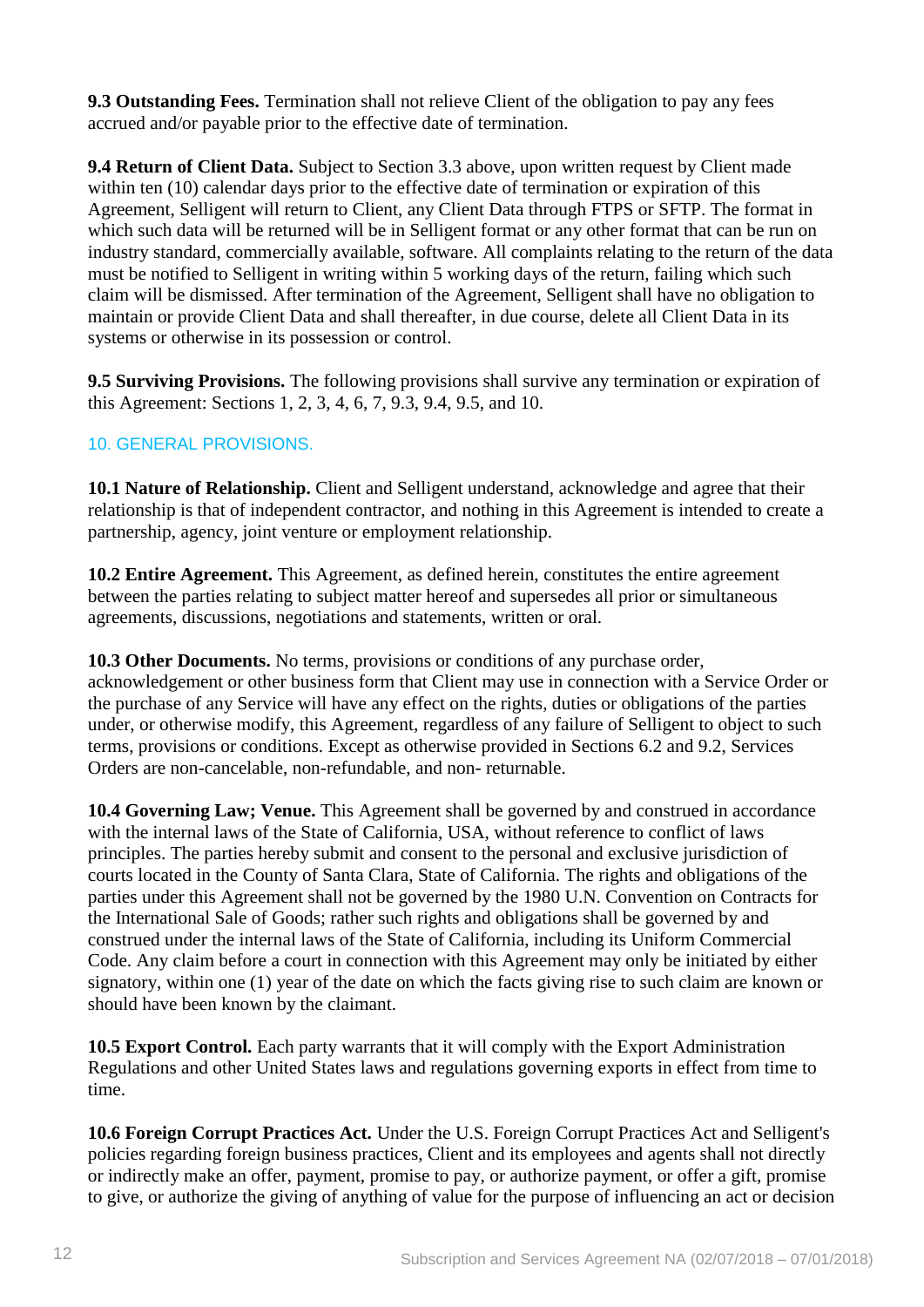**9.3 Outstanding Fees.** Termination shall not relieve Client of the obligation to pay any fees accrued and/or payable prior to the effective date of termination.

**9.4 Return of Client Data.** Subject to Section 3.3 above, upon written request by Client made within ten (10) calendar days prior to the effective date of termination or expiration of this Agreement, Selligent will return to Client, any Client Data through FTPS or SFTP. The format in which such data will be returned will be in Selligent format or any other format that can be run on industry standard, commercially available, software. All complaints relating to the return of the data must be notified to Selligent in writing within 5 working days of the return, failing which such claim will be dismissed. After termination of the Agreement, Selligent shall have no obligation to maintain or provide Client Data and shall thereafter, in due course, delete all Client Data in its systems or otherwise in its possession or control.

**9.5 Surviving Provisions.** The following provisions shall survive any termination or expiration of this Agreement: Sections 1, 2, 3, 4, 6, 7, 9.3, 9.4, 9.5, and 10.

## 10. GENERAL PROVISIONS.

**10.1 Nature of Relationship.** Client and Selligent understand, acknowledge and agree that their relationship is that of independent contractor, and nothing in this Agreement is intended to create a partnership, agency, joint venture or employment relationship.

**10.2 Entire Agreement.** This Agreement, as defined herein, constitutes the entire agreement between the parties relating to subject matter hereof and supersedes all prior or simultaneous agreements, discussions, negotiations and statements, written or oral.

**10.3 Other Documents.** No terms, provisions or conditions of any purchase order, acknowledgement or other business form that Client may use in connection with a Service Order or the purchase of any Service will have any effect on the rights, duties or obligations of the parties under, or otherwise modify, this Agreement, regardless of any failure of Selligent to object to such terms, provisions or conditions. Except as otherwise provided in Sections 6.2 and 9.2, Services Orders are non-cancelable, non-refundable, and non- returnable.

**10.4 Governing Law; Venue.** This Agreement shall be governed by and construed in accordance with the internal laws of the State of California, USA, without reference to conflict of laws principles. The parties hereby submit and consent to the personal and exclusive jurisdiction of courts located in the County of Santa Clara, State of California. The rights and obligations of the parties under this Agreement shall not be governed by the 1980 U.N. Convention on Contracts for the International Sale of Goods; rather such rights and obligations shall be governed by and construed under the internal laws of the State of California, including its Uniform Commercial Code. Any claim before a court in connection with this Agreement may only be initiated by either signatory, within one (1) year of the date on which the facts giving rise to such claim are known or should have been known by the claimant.

**10.5 Export Control.** Each party warrants that it will comply with the Export Administration Regulations and other United States laws and regulations governing exports in effect from time to time.

**10.6 Foreign Corrupt Practices Act.** Under the U.S. Foreign Corrupt Practices Act and Selligent's policies regarding foreign business practices, Client and its employees and agents shall not directly or indirectly make an offer, payment, promise to pay, or authorize payment, or offer a gift, promise to give, or authorize the giving of anything of value for the purpose of influencing an act or decision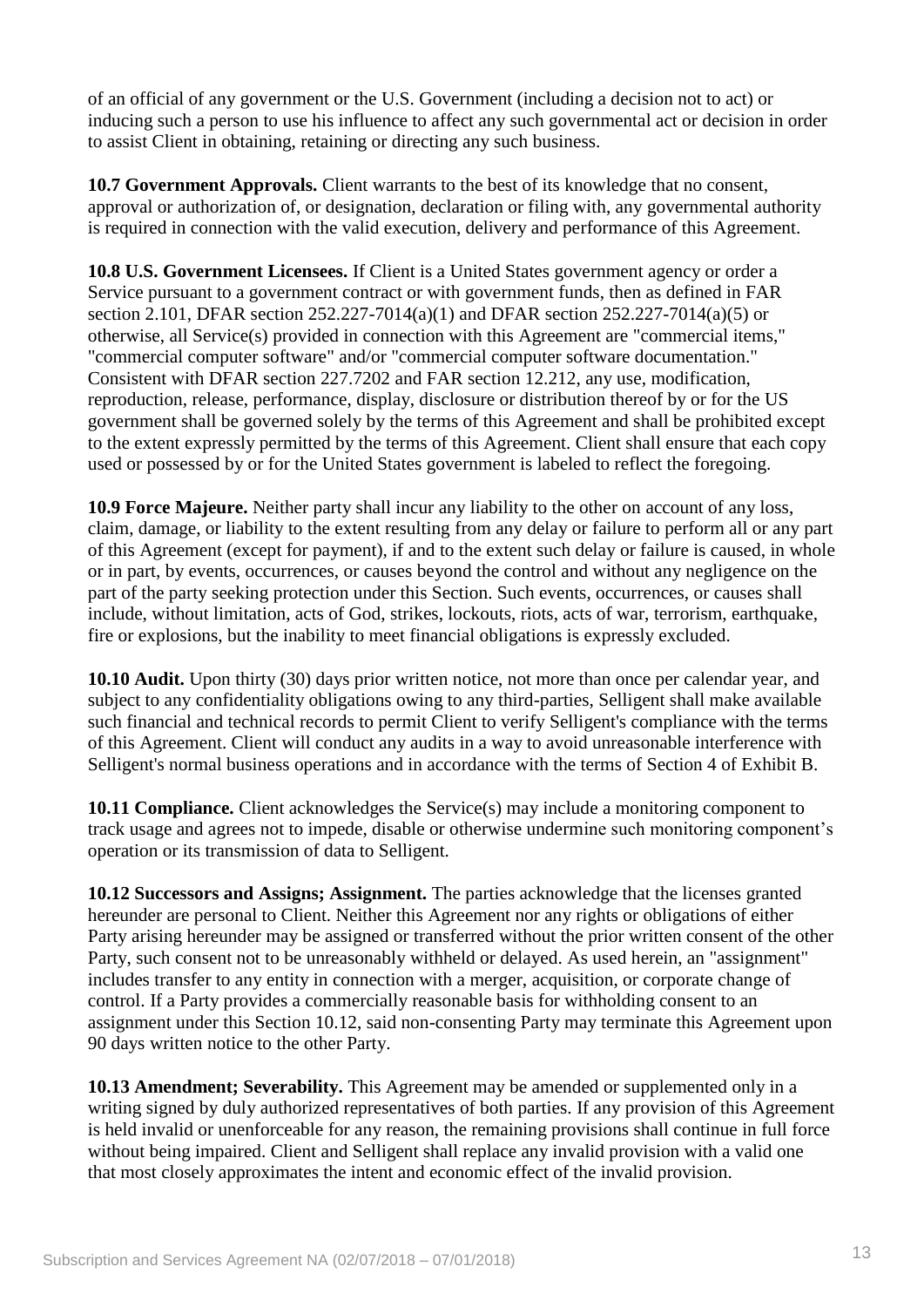of an official of any government or the U.S. Government (including a decision not to act) or inducing such a person to use his influence to affect any such governmental act or decision in order to assist Client in obtaining, retaining or directing any such business.

**10.7 Government Approvals.** Client warrants to the best of its knowledge that no consent, approval or authorization of, or designation, declaration or filing with, any governmental authority is required in connection with the valid execution, delivery and performance of this Agreement.

**10.8 U.S. Government Licensees.** If Client is a United States government agency or order a Service pursuant to a government contract or with government funds, then as defined in FAR section 2.101, DFAR section 252.227-7014(a)(1) and DFAR section 252.227-7014(a)(5) or otherwise, all Service(s) provided in connection with this Agreement are "commercial items," "commercial computer software" and/or "commercial computer software documentation." Consistent with DFAR section 227.7202 and FAR section 12.212, any use, modification, reproduction, release, performance, display, disclosure or distribution thereof by or for the US government shall be governed solely by the terms of this Agreement and shall be prohibited except to the extent expressly permitted by the terms of this Agreement. Client shall ensure that each copy used or possessed by or for the United States government is labeled to reflect the foregoing.

**10.9 Force Majeure.** Neither party shall incur any liability to the other on account of any loss, claim, damage, or liability to the extent resulting from any delay or failure to perform all or any part of this Agreement (except for payment), if and to the extent such delay or failure is caused, in whole or in part, by events, occurrences, or causes beyond the control and without any negligence on the part of the party seeking protection under this Section. Such events, occurrences, or causes shall include, without limitation, acts of God, strikes, lockouts, riots, acts of war, terrorism, earthquake, fire or explosions, but the inability to meet financial obligations is expressly excluded.

**10.10 Audit.** Upon thirty (30) days prior written notice, not more than once per calendar year, and subject to any confidentiality obligations owing to any third-parties, Selligent shall make available such financial and technical records to permit Client to verify Selligent's compliance with the terms of this Agreement. Client will conduct any audits in a way to avoid unreasonable interference with Selligent's normal business operations and in accordance with the terms of Section 4 of Exhibit B.

**10.11 Compliance.** Client acknowledges the Service(s) may include a monitoring component to track usage and agrees not to impede, disable or otherwise undermine such monitoring component's operation or its transmission of data to Selligent.

**10.12 Successors and Assigns; Assignment.** The parties acknowledge that the licenses granted hereunder are personal to Client. Neither this Agreement nor any rights or obligations of either Party arising hereunder may be assigned or transferred without the prior written consent of the other Party, such consent not to be unreasonably withheld or delayed. As used herein, an "assignment" includes transfer to any entity in connection with a merger, acquisition, or corporate change of control. If a Party provides a commercially reasonable basis for withholding consent to an assignment under this Section 10.12, said non-consenting Party may terminate this Agreement upon 90 days written notice to the other Party.

**10.13 Amendment; Severability.** This Agreement may be amended or supplemented only in a writing signed by duly authorized representatives of both parties. If any provision of this Agreement is held invalid or unenforceable for any reason, the remaining provisions shall continue in full force without being impaired. Client and Selligent shall replace any invalid provision with a valid one that most closely approximates the intent and economic effect of the invalid provision.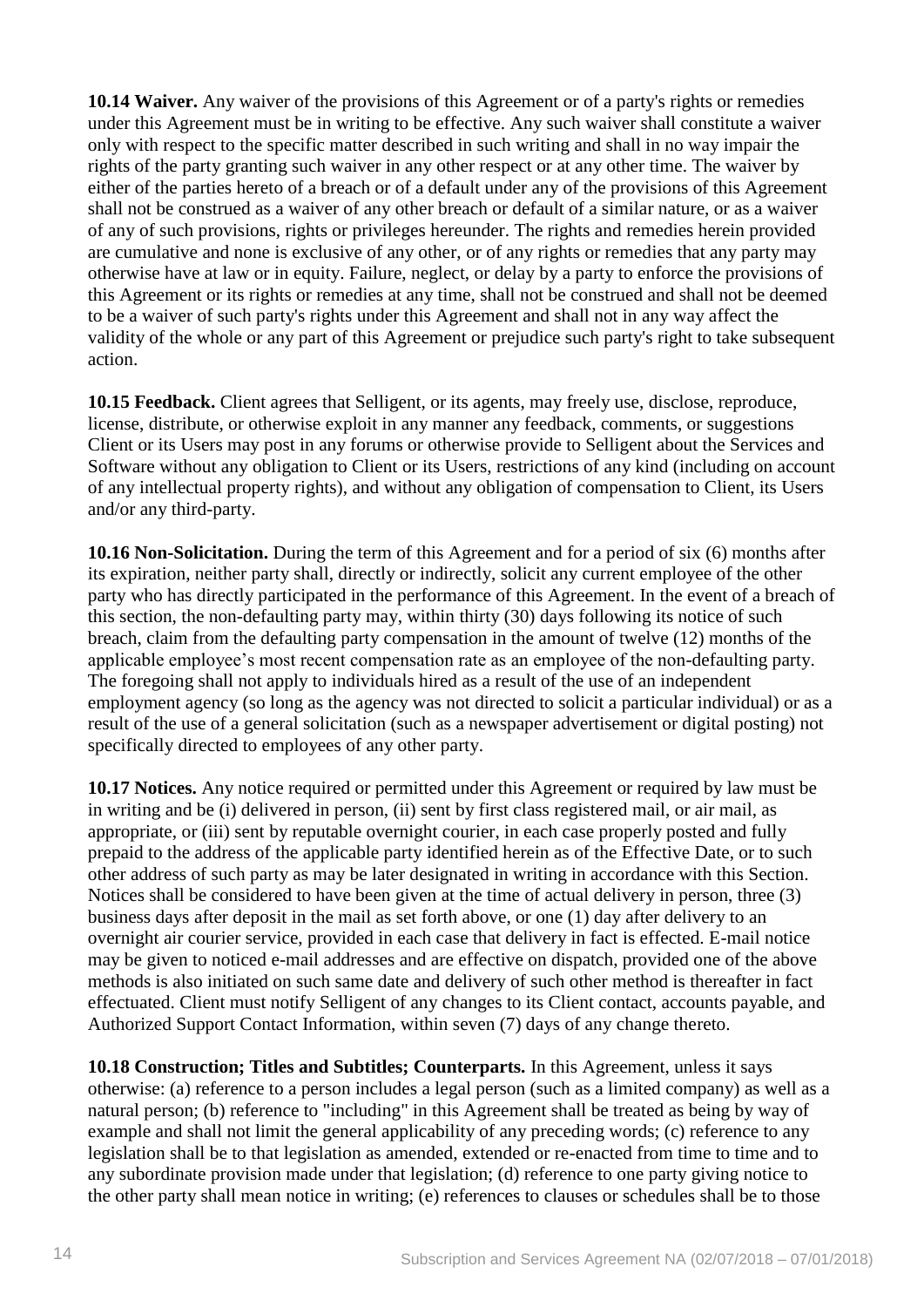**10.14 Waiver.** Any waiver of the provisions of this Agreement or of a party's rights or remedies under this Agreement must be in writing to be effective. Any such waiver shall constitute a waiver only with respect to the specific matter described in such writing and shall in no way impair the rights of the party granting such waiver in any other respect or at any other time. The waiver by either of the parties hereto of a breach or of a default under any of the provisions of this Agreement shall not be construed as a waiver of any other breach or default of a similar nature, or as a waiver of any of such provisions, rights or privileges hereunder. The rights and remedies herein provided are cumulative and none is exclusive of any other, or of any rights or remedies that any party may otherwise have at law or in equity. Failure, neglect, or delay by a party to enforce the provisions of this Agreement or its rights or remedies at any time, shall not be construed and shall not be deemed to be a waiver of such party's rights under this Agreement and shall not in any way affect the validity of the whole or any part of this Agreement or prejudice such party's right to take subsequent action.

**10.15 Feedback.** Client agrees that Selligent, or its agents, may freely use, disclose, reproduce, license, distribute, or otherwise exploit in any manner any feedback, comments, or suggestions Client or its Users may post in any forums or otherwise provide to Selligent about the Services and Software without any obligation to Client or its Users, restrictions of any kind (including on account of any intellectual property rights), and without any obligation of compensation to Client, its Users and/or any third-party.

**10.16 Non-Solicitation.** During the term of this Agreement and for a period of six (6) months after its expiration, neither party shall, directly or indirectly, solicit any current employee of the other party who has directly participated in the performance of this Agreement. In the event of a breach of this section, the non-defaulting party may, within thirty (30) days following its notice of such breach, claim from the defaulting party compensation in the amount of twelve (12) months of the applicable employee's most recent compensation rate as an employee of the non-defaulting party. The foregoing shall not apply to individuals hired as a result of the use of an independent employment agency (so long as the agency was not directed to solicit a particular individual) or as a result of the use of a general solicitation (such as a newspaper advertisement or digital posting) not specifically directed to employees of any other party.

**10.17 Notices.** Any notice required or permitted under this Agreement or required by law must be in writing and be (i) delivered in person, (ii) sent by first class registered mail, or air mail, as appropriate, or (iii) sent by reputable overnight courier, in each case properly posted and fully prepaid to the address of the applicable party identified herein as of the Effective Date, or to such other address of such party as may be later designated in writing in accordance with this Section. Notices shall be considered to have been given at the time of actual delivery in person, three (3) business days after deposit in the mail as set forth above, or one (1) day after delivery to an overnight air courier service, provided in each case that delivery in fact is effected. E-mail notice may be given to noticed e-mail addresses and are effective on dispatch, provided one of the above methods is also initiated on such same date and delivery of such other method is thereafter in fact effectuated. Client must notify Selligent of any changes to its Client contact, accounts payable, and Authorized Support Contact Information, within seven (7) days of any change thereto.

**10.18 Construction; Titles and Subtitles; Counterparts.** In this Agreement, unless it says otherwise: (a) reference to a person includes a legal person (such as a limited company) as well as a natural person; (b) reference to "including" in this Agreement shall be treated as being by way of example and shall not limit the general applicability of any preceding words; (c) reference to any legislation shall be to that legislation as amended, extended or re-enacted from time to time and to any subordinate provision made under that legislation; (d) reference to one party giving notice to the other party shall mean notice in writing; (e) references to clauses or schedules shall be to those